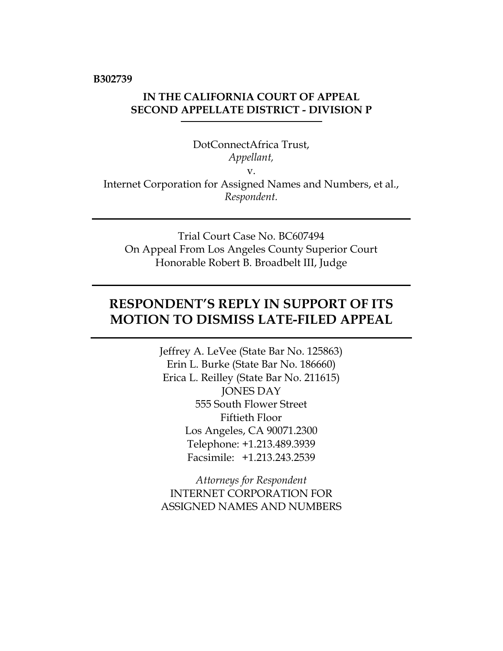**B302739**

# **IN THE CALIFORNIA COURT OF APPEAL SECOND APPELLATE DISTRICT - DIVISION P**

DotConnectAfrica Trust, *Appellant,* v. Internet Corporation for Assigned Names and Numbers, et al., *Respondent.*

Trial Court Case No. BC607494 On Appeal From Los Angeles County Superior Court Honorable Robert B. Broadbelt III, Judge

# **RESPONDENT'S REPLY IN SUPPORT OF ITS MOTION TO DISMISS LATE-FILED APPEAL**

Jeffrey A. LeVee (State Bar No. 125863) Erin L. Burke (State Bar No. 186660) Erica L. Reilley (State Bar No. 211615) JONES DAY 555 South Flower Street Fiftieth Floor Los Angeles, CA 90071.2300 Telephone: +1.213.489.3939 Facsimile: +1.213.243.2539

*Attorneys for Respondent* INTERNET CORPORATION FOR ASSIGNED NAMES AND NUMBERS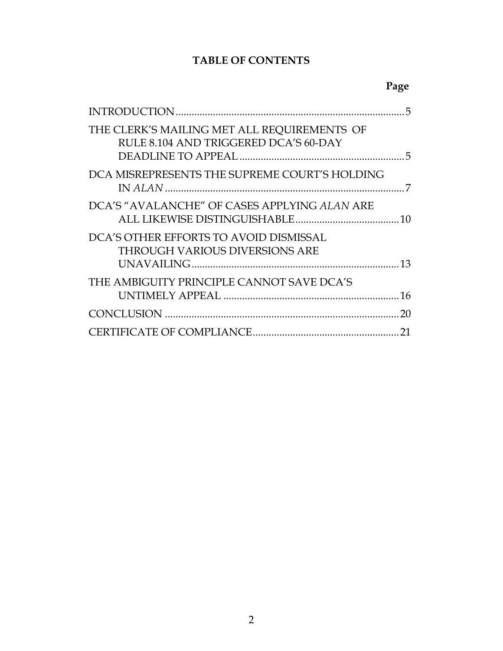# **TABLE OF CONTENTS**

|                                                                                      | 5  |
|--------------------------------------------------------------------------------------|----|
| THE CLERK'S MAILING MET ALL REQUIREMENTS OF<br>RULE 8.104 AND TRIGGERED DCA'S 60-DAY |    |
| DCA MISREPRESENTS THE SUPREME COURT'S HOLDING                                        |    |
| DCA'S "AVALANCHE" OF CASES APPLYING ALAN ARE                                         |    |
| DCA'S OTHER EFFORTS TO AVOID DISMISSAL<br><b>THROUGH VARIOUS DIVERSIONS ARE</b>      |    |
| THE AMBIGUITY PRINCIPLE CANNOT SAVE DCA'S                                            |    |
|                                                                                      | 20 |
|                                                                                      | 21 |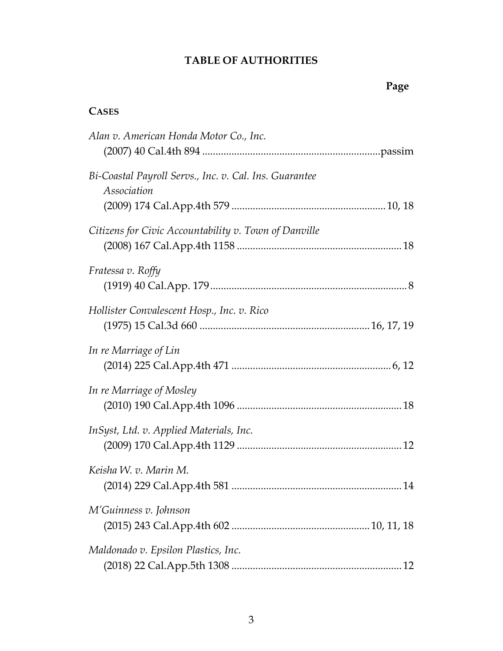# **TABLE OF AUTHORITIES**

**Page**

# **CASES**

| Alan v. American Honda Motor Co., Inc.                                |
|-----------------------------------------------------------------------|
| Bi-Coastal Payroll Servs., Inc. v. Cal. Ins. Guarantee<br>Association |
| Citizens for Civic Accountability v. Town of Danville                 |
| <i>Fratessa v. Roffy</i>                                              |
| Hollister Convalescent Hosp., Inc. v. Rico                            |
| In re Marriage of Lin                                                 |
| In re Marriage of Mosley                                              |
| InSyst, Ltd. v. Applied Materials, Inc.                               |
| Keisha W. v. Marin M.                                                 |
| M'Guinness v. Johnson                                                 |
| Maldonado v. Epsilon Plastics, Inc.                                   |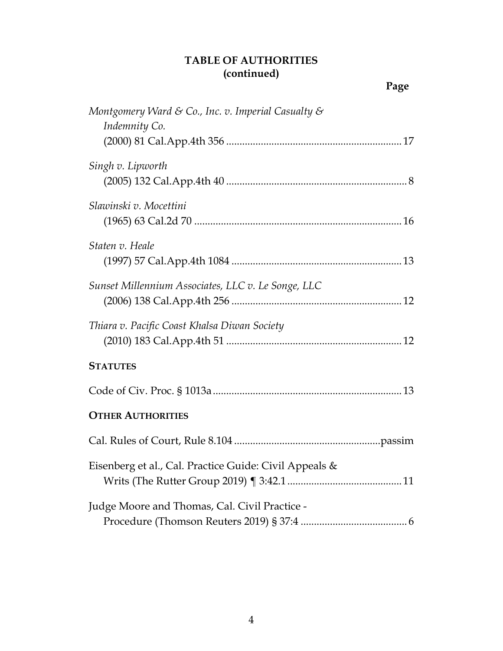# **TABLE OF AUTHORITIES (continued)**

| Montgomery Ward & Co., Inc. v. Imperial Casualty &<br>Indemnity Co. |
|---------------------------------------------------------------------|
| Singh v. Lipworth                                                   |
| Slawinski v. Mocettini                                              |
| Staten v. Heale                                                     |
| Sunset Millennium Associates, LLC v. Le Songe, LLC                  |
| Thiara v. Pacific Coast Khalsa Diwan Society                        |
| <b>STATUTES</b>                                                     |
|                                                                     |
| <b>OTHER AUTHORITIES</b>                                            |
|                                                                     |
| Eisenberg et al., Cal. Practice Guide: Civil Appeals &              |
| Judge Moore and Thomas, Cal. Civil Practice -                       |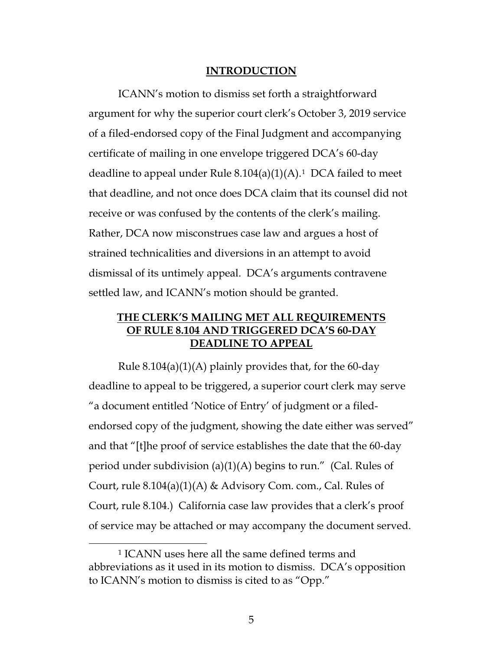#### <span id="page-4-2"></span>**INTRODUCTION**

<span id="page-4-0"></span>ICANN's motion to dismiss set forth a straightforward argument for why the superior court clerk's October 3, 2019 service of a filed-endorsed copy of the Final Judgment and accompanying certificate of mailing in one envelope triggered DCA's 60-day deadline to appeal under Rule  $8.104(a)(1)(A)$ .<sup>1</sup> DCA failed to meet that deadline, and not once does DCA claim that its counsel did not receive or was confused by the contents of the clerk's mailing. Rather, DCA now misconstrues case law and argues a host of strained technicalities and diversions in an attempt to avoid dismissal of its untimely appeal. DCA's arguments contravene settled law, and ICANN's motion should be granted.

### <span id="page-4-1"></span>**THE CLERK'S MAILING MET ALL REQUIREMENTS OF RULE 8.104 AND TRIGGERED DCA'S 60-DAY DEADLINE TO APPEAL**

Rule  $8.104(a)(1)(A)$  plainly provides that, for the 60-day deadline to appeal to be triggered, a superior court clerk may serve "a document entitled 'Notice of Entry' of judgment or a filedendorsed copy of the judgment, showing the date either was served" and that "[t]he proof of service establishes the date that the 60-day period under subdivision (a)(1)(A) begins to run." (Cal. Rules of Court, rule 8.104(a)(1)(A) & Advisory Com. com., Cal. Rules of Court, rule 8.104.) California case law provides that a clerk's proof of service may be attached or may accompany the document served.

<span id="page-4-3"></span><sup>1</sup> ICANN uses here all the same defined terms and abbreviations as it used in its motion to dismiss. DCA's opposition to ICANN's motion to dismiss is cited to as "Opp."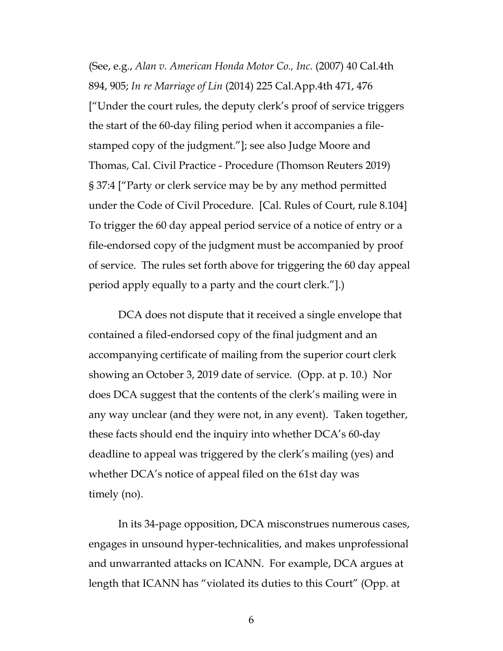<span id="page-5-2"></span><span id="page-5-1"></span><span id="page-5-0"></span>(See, e.g., *Alan v. American Honda Motor Co., Inc.* (2007) 40 Cal.4th 894, 905; *In re Marriage of Lin* (2014) 225 Cal.App.4th 471, 476 ["Under the court rules, the deputy clerk's proof of service triggers the start of the 60-day filing period when it accompanies a filestamped copy of the judgment."]; see also Judge Moore and Thomas, Cal. Civil Practice - Procedure (Thomson Reuters 2019) § 37:4 ["Party or clerk service may be by any method permitted under the Code of Civil Procedure. [Cal. Rules of Court, rule 8.104] To trigger the 60 day appeal period service of a notice of entry or a file-endorsed copy of the judgment must be accompanied by proof of service. The rules set forth above for triggering the 60 day appeal period apply equally to a party and the court clerk."].)

DCA does not dispute that it received a single envelope that contained a filed-endorsed copy of the final judgment and an accompanying certificate of mailing from the superior court clerk showing an October 3, 2019 date of service. (Opp. at p. 10.) Nor does DCA suggest that the contents of the clerk's mailing were in any way unclear (and they were not, in any event). Taken together, these facts should end the inquiry into whether DCA's 60-day deadline to appeal was triggered by the clerk's mailing (yes) and whether DCA's notice of appeal filed on the 61st day was timely (no).

In its 34-page opposition, DCA misconstrues numerous cases, engages in unsound hyper-technicalities, and makes unprofessional and unwarranted attacks on ICANN. For example, DCA argues at length that ICANN has "violated its duties to this Court" (Opp. at

6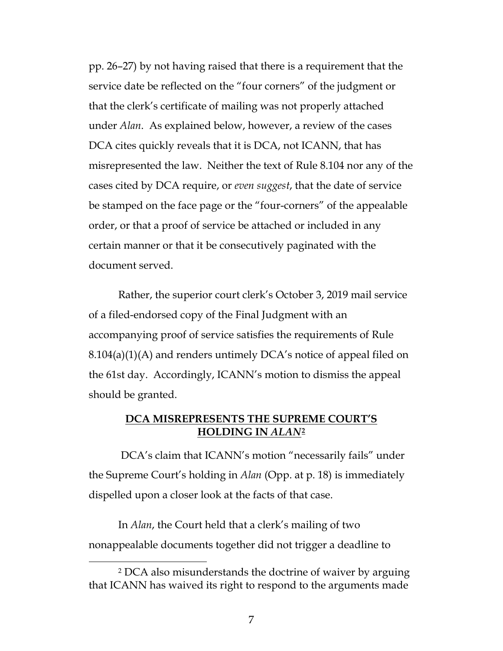pp. 26–27) by not having raised that there is a requirement that the service date be reflected on the "four corners" of the judgment or that the clerk's certificate of mailing was not properly attached under *Alan*. As explained below, however, a review of the cases DCA cites quickly reveals that it is DCA, not ICANN, that has misrepresented the law. Neither the text of Rule 8.104 nor any of the cases cited by DCA require, or *even suggest*, that the date of service be stamped on the face page or the "four-corners" of the appealable order, or that a proof of service be attached or included in any certain manner or that it be consecutively paginated with the document served.

Rather, the superior court clerk's October 3, 2019 mail service of a filed-endorsed copy of the Final Judgment with an accompanying proof of service satisfies the requirements of Rule 8.104(a)(1)(A) and renders untimely DCA's notice of appeal filed on the 61st day. Accordingly, ICANN's motion to dismiss the appeal should be granted.

### <span id="page-6-0"></span>**DCA MISREPRESENTS THE SUPREME COURT'S HOLDING IN** *ALAN***[2](#page-6-1)**

DCA's claim that ICANN's motion "necessarily fails" under the Supreme Court's holding in *Alan* (Opp. at p. 18) is immediately dispelled upon a closer look at the facts of that case.

In *Alan*, the Court held that a clerk's mailing of two nonappealable documents together did not trigger a deadline to

<span id="page-6-1"></span><sup>2</sup> DCA also misunderstands the doctrine of waiver by arguing that ICANN has waived its right to respond to the arguments made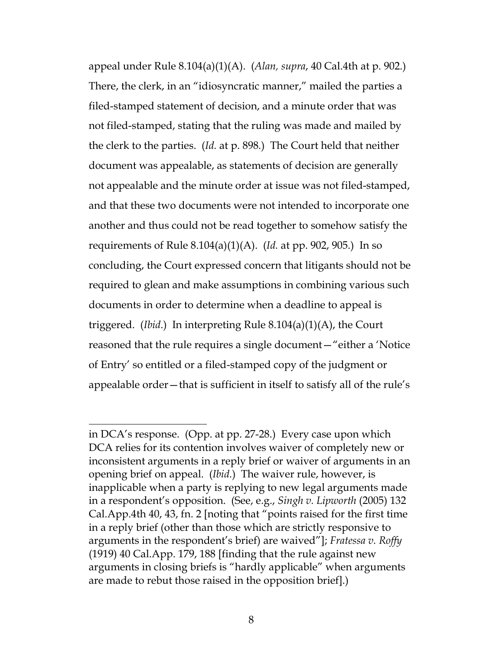appeal under Rule 8.104(a)(1)(A). (*Alan, supra*, 40 Cal.4th at p. 902.) There, the clerk, in an "idiosyncratic manner," mailed the parties a filed-stamped statement of decision, and a minute order that was not filed-stamped, stating that the ruling was made and mailed by the clerk to the parties. (*Id.* at p. 898*.*) The Court held that neither document was appealable, as statements of decision are generally not appealable and the minute order at issue was not filed-stamped, and that these two documents were not intended to incorporate one another and thus could not be read together to somehow satisfy the requirements of Rule 8.104(a)(1)(A). (*Id.* at pp. 902, 905.) In so concluding, the Court expressed concern that litigants should not be required to glean and make assumptions in combining various such documents in order to determine when a deadline to appeal is triggered. (*Ibid*.) In interpreting Rule 8.104(a)(1)(A), the Court reasoned that the rule requires a single document—"either a 'Notice of Entry' so entitled or a filed-stamped copy of the judgment or appealable order—that is sufficient in itself to satisfy all of the rule's

<span id="page-7-1"></span><span id="page-7-0"></span> $\overline{a}$ in DCA's response. (Opp. at pp. 27-28.) Every case upon which DCA relies for its contention involves waiver of completely new or inconsistent arguments in a reply brief or waiver of arguments in an opening brief on appeal. (*Ibid.*) The waiver rule, however, is inapplicable when a party is replying to new legal arguments made in a respondent's opposition. (See, e.g., *Singh v. Lipworth* (2005) 132 Cal.App.4th 40, 43, fn. 2 [noting that "points raised for the first time in a reply brief (other than those which are strictly responsive to arguments in the respondent's brief) are waived"]; *Fratessa v. Roffy* (1919) 40 Cal.App. 179, 188 [finding that the rule against new arguments in closing briefs is "hardly applicable" when arguments are made to rebut those raised in the opposition brief].)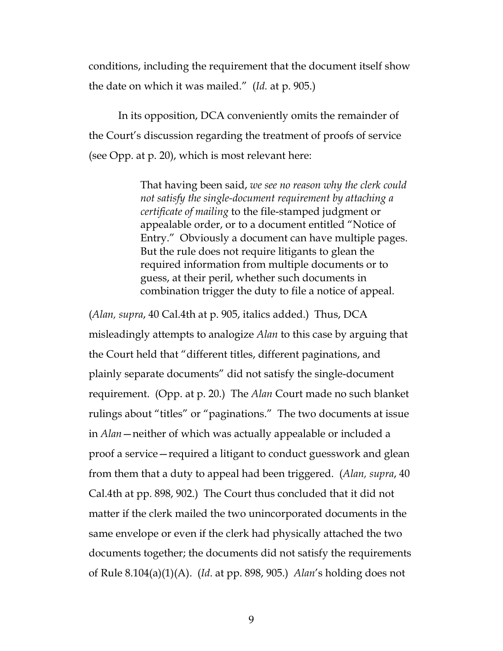conditions, including the requirement that the document itself show the date on which it was mailed." (*Id.* at p. 905.)

In its opposition, DCA conveniently omits the remainder of the Court's discussion regarding the treatment of proofs of service (see Opp. at p. 20), which is most relevant here:

> That having been said, *we see no reason why the clerk could not satisfy the single-document requirement by attaching a certificate of mailing* to the file-stamped judgment or appealable order, or to a document entitled "Notice of Entry." Obviously a document can have multiple pages. But the rule does not require litigants to glean the required information from multiple documents or to guess, at their peril, whether such documents in combination trigger the duty to file a notice of appeal.

(*Alan, supra*, 40 Cal.4th at p. 905, italics added.) Thus, DCA misleadingly attempts to analogize *Alan* to this case by arguing that the Court held that "different titles, different paginations, and plainly separate documents" did not satisfy the single-document requirement. (Opp. at p. 20.) The *Alan* Court made no such blanket rulings about "titles" or "paginations." The two documents at issue in *Alan*—neither of which was actually appealable or included a proof a service—required a litigant to conduct guesswork and glean from them that a duty to appeal had been triggered. (*Alan, supra*, 40 Cal.4th at pp. 898, 902.) The Court thus concluded that it did not matter if the clerk mailed the two unincorporated documents in the same envelope or even if the clerk had physically attached the two documents together; the documents did not satisfy the requirements of Rule 8.104(a)(1)(A). (*Id*. at pp. 898, 905.) *Alan*'s holding does not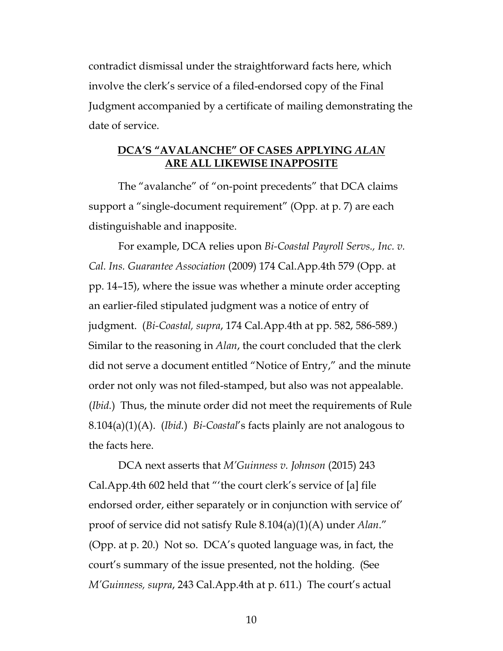contradict dismissal under the straightforward facts here, which involve the clerk's service of a filed-endorsed copy of the Final Judgment accompanied by a certificate of mailing demonstrating the date of service.

### <span id="page-9-1"></span><span id="page-9-0"></span>**DCA'S "AVALANCHE" OF CASES APPLYING** *ALAN* **ARE ALL LIKEWISE INAPPOSITE**

The "avalanche" of "on-point precedents" that DCA claims support a "single-document requirement" (Opp. at p. 7) are each distinguishable and inapposite.

For example, DCA relies upon *Bi-Coastal Payroll Servs., Inc. v. Cal. Ins. Guarantee Association* (2009) 174 Cal.App.4th 579 (Opp. at pp. 14–15), where the issue was whether a minute order accepting an earlier-filed stipulated judgment was a notice of entry of judgment. (*Bi-Coastal, supra*, 174 Cal.App.4th at pp. 582, 586-589.) Similar to the reasoning in *Alan*, the court concluded that the clerk did not serve a document entitled "Notice of Entry," and the minute order not only was not filed-stamped, but also was not appealable. (*Ibid.*) Thus, the minute order did not meet the requirements of Rule 8.104(a)(1)(A). (*Ibid.*) *Bi-Coastal*'s facts plainly are not analogous to the facts here.

<span id="page-9-2"></span>DCA next asserts that *M'Guinness v. Johnson* (2015) 243 Cal.App.4th 602 held that "'the court clerk's service of [a] file endorsed order, either separately or in conjunction with service of' proof of service did not satisfy Rule 8.104(a)(1)(A) under *Alan*." (Opp. at p. 20.) Not so. DCA's quoted language was, in fact, the court's summary of the issue presented, not the holding. (See *M'Guinness, supra*, 243 Cal.App.4th at p. 611.) The court's actual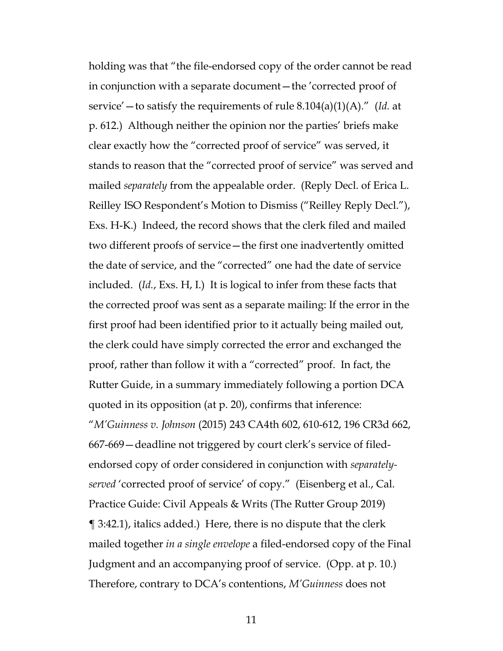<span id="page-10-1"></span><span id="page-10-0"></span>holding was that "the file-endorsed copy of the order cannot be read in conjunction with a separate document—the 'corrected proof of service'—to satisfy the requirements of rule 8.104(a)(1)(A)." (*Id.* at p. 612.) Although neither the opinion nor the parties' briefs make clear exactly how the "corrected proof of service" was served, it stands to reason that the "corrected proof of service" was served and mailed *separately* from the appealable order. (Reply Decl. of Erica L. Reilley ISO Respondent's Motion to Dismiss ("Reilley Reply Decl."), Exs. H-K.) Indeed, the record shows that the clerk filed and mailed two different proofs of service—the first one inadvertently omitted the date of service, and the "corrected" one had the date of service included. (*Id.*, Exs. H, I.) It is logical to infer from these facts that the corrected proof was sent as a separate mailing: If the error in the first proof had been identified prior to it actually being mailed out, the clerk could have simply corrected the error and exchanged the proof, rather than follow it with a "corrected" proof. In fact, the Rutter Guide, in a summary immediately following a portion DCA quoted in its opposition (at p. 20), confirms that inference: "*M'Guinness v. Johnson* (2015) 243 CA4th 602, 610-612, 196 CR3d 662, 667-669—deadline not triggered by court clerk's service of filedendorsed copy of order considered in conjunction with *separatelyserved* 'corrected proof of service' of copy." (Eisenberg et al., Cal. Practice Guide: Civil Appeals & Writs (The Rutter Group 2019) ¶ 3:42.1), italics added.) Here, there is no dispute that the clerk mailed together *in a single envelope* a filed-endorsed copy of the Final Judgment and an accompanying proof of service. (Opp. at p. 10.) Therefore, contrary to DCA's contentions, *M'Guinness* does not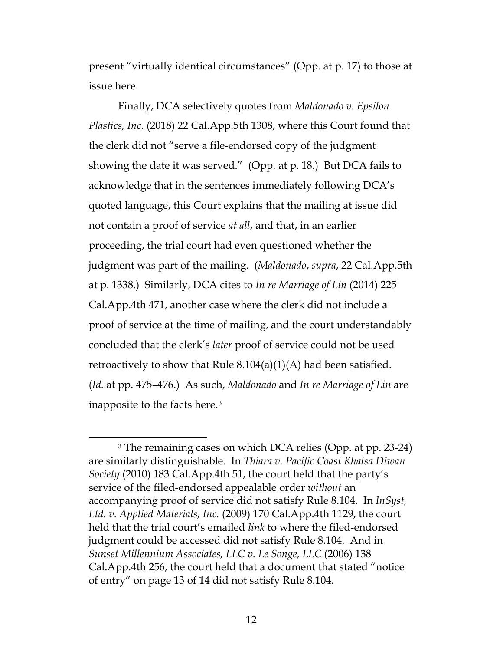present "virtually identical circumstances" (Opp. at p. 17) to those at issue here.

<span id="page-11-2"></span>Finally, DCA selectively quotes from *Maldonado v. Epsilon Plastics, Inc.* (2018) 22 Cal.App.5th 1308, where this Court found that the clerk did not "serve a file-endorsed copy of the judgment showing the date it was served." (Opp. at p. 18.) But DCA fails to acknowledge that in the sentences immediately following DCA's quoted language, this Court explains that the mailing at issue did not contain a proof of service *at all*, and that, in an earlier proceeding, the trial court had even questioned whether the judgment was part of the mailing. (*Maldonado*, *supra*, 22 Cal.App.5th at p. 1338.)Similarly, DCA cites to *In re Marriage of Lin* (2014) 225 Cal.App.4th 471, another case where the clerk did not include a proof of service at the time of mailing, and the court understandably concluded that the clerk's *later* proof of service could not be used retroactively to show that Rule  $8.104(a)(1)(A)$  had been satisfied. (*Id.* at pp. 475–476.) As such, *Maldonado* and *In re Marriage of Lin* are inapposite to the facts here.[3](#page-11-5)

<span id="page-11-5"></span><span id="page-11-4"></span><span id="page-11-3"></span><span id="page-11-1"></span><span id="page-11-0"></span><sup>3</sup> The remaining cases on which DCA relies (Opp. at pp. 23-24) are similarly distinguishable. In *Thiara v. Pacific Coast Khalsa Diwan Society* (2010) 183 Cal.App.4th 51, the court held that the party's service of the filed-endorsed appealable order *without* an accompanying proof of service did not satisfy Rule 8.104. In *InSyst, Ltd. v. Applied Materials, Inc.* (2009) 170 Cal.App.4th 1129, the court held that the trial court's emailed *link* to where the filed-endorsed judgment could be accessed did not satisfy Rule 8.104. And in *Sunset Millennium Associates, LLC v. Le Songe, LLC* (2006) 138 Cal.App.4th 256, the court held that a document that stated "notice of entry" on page 13 of 14 did not satisfy Rule 8.104.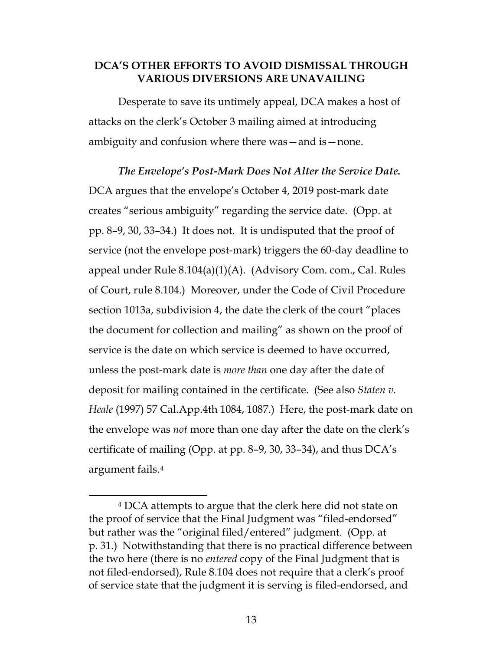### <span id="page-12-0"></span>**DCA'S OTHER EFFORTS TO AVOID DISMISSAL THROUGH VARIOUS DIVERSIONS ARE UNAVAILING**

Desperate to save its untimely appeal, DCA makes a host of attacks on the clerk's October 3 mailing aimed at introducing ambiguity and confusion where there was—and is—none.

<span id="page-12-2"></span>*The Envelope's Post-Mark Does Not Alter the Service Date.*  DCA argues that the envelope's October 4, 2019 post-mark date creates "serious ambiguity" regarding the service date. (Opp. at pp. 8–9, 30, 33–34.) It does not. It is undisputed that the proof of service (not the envelope post-mark) triggers the 60-day deadline to appeal under Rule 8.104(a)(1)(A). (Advisory Com. com., Cal. Rules of Court, rule 8.104.) Moreover, under the Code of Civil Procedure section 1013a, subdivision 4, the date the clerk of the court "places the document for collection and mailing" as shown on the proof of service is the date on which service is deemed to have occurred, unless the post-mark date is *more than* one day after the date of deposit for mailing contained in the certificate. (See also *Staten v. Heale* (1997) 57 Cal.App.4th 1084, 1087.) Here, the post-mark date on the envelope was *not* more than one day after the date on the clerk's certificate of mailing (Opp. at pp. 8–9, 30, 33–34), and thus DCA's argument fails.[4](#page-12-3)

<span id="page-12-3"></span><span id="page-12-1"></span><sup>4</sup> DCA attempts to argue that the clerk here did not state on the proof of service that the Final Judgment was "filed-endorsed" but rather was the "original filed/entered" judgment. (Opp. at p. 31.) Notwithstanding that there is no practical difference between the two here (there is no *entered* copy of the Final Judgment that is not filed-endorsed), Rule 8.104 does not require that a clerk's proof of service state that the judgment it is serving is filed-endorsed, and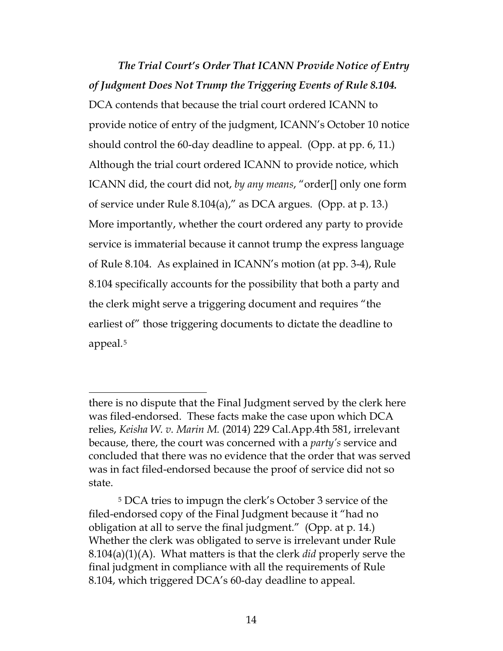*The Trial Court's Order That ICANN Provide Notice of Entry of Judgment Does Not Trump the Triggering Events of Rule 8.104.*  DCA contends that because the trial court ordered ICANN to provide notice of entry of the judgment, ICANN's October 10 notice should control the 60-day deadline to appeal. (Opp. at pp. 6, 11.) Although the trial court ordered ICANN to provide notice, which ICANN did, the court did not, *by any means*, "order[] only one form of service under Rule 8.104(a)," as DCA argues. (Opp. at p. 13.) More importantly, whether the court ordered any party to provide service is immaterial because it cannot trump the express language of Rule 8.104. As explained in ICANN's motion (at pp. 3-4), Rule 8.104 specifically accounts for the possibility that both a party and the clerk might serve a triggering document and requires "the earliest of" those triggering documents to dictate the deadline to appeal.[5](#page-13-1)

<span id="page-13-0"></span> $\overline{a}$ there is no dispute that the Final Judgment served by the clerk here was filed-endorsed. These facts make the case upon which DCA relies, *Keisha W. v. Marin M.* (2014) 229 Cal.App.4th 581, irrelevant because, there, the court was concerned with a *party's* service and concluded that there was no evidence that the order that was served was in fact filed-endorsed because the proof of service did not so state.

<span id="page-13-1"></span><sup>5</sup> DCA tries to impugn the clerk's October 3 service of the filed-endorsed copy of the Final Judgment because it "had no obligation at all to serve the final judgment." (Opp. at p. 14.) Whether the clerk was obligated to serve is irrelevant under Rule 8.104(a)(1)(A). What matters is that the clerk *did* properly serve the final judgment in compliance with all the requirements of Rule 8.104, which triggered DCA's 60-day deadline to appeal.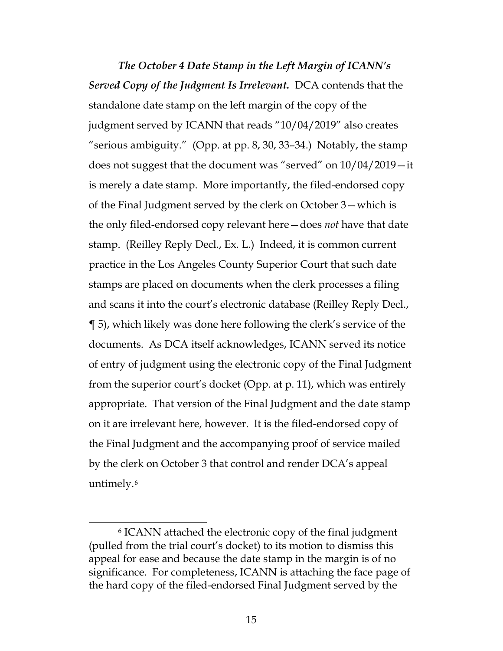*The October 4 Date Stamp in the Left Margin of ICANN's Served Copy of the Judgment Is Irrelevant.* DCA contends that the standalone date stamp on the left margin of the copy of the judgment served by ICANN that reads "10/04/2019" also creates "serious ambiguity." (Opp. at pp. 8, 30, 33–34.) Notably, the stamp does not suggest that the document was "served" on 10/04/2019—it is merely a date stamp. More importantly, the filed-endorsed copy of the Final Judgment served by the clerk on October 3—which is the only filed-endorsed copy relevant here—does *not* have that date stamp. (Reilley Reply Decl., Ex. L.) Indeed, it is common current practice in the Los Angeles County Superior Court that such date stamps are placed on documents when the clerk processes a filing and scans it into the court's electronic database (Reilley Reply Decl., ¶ 5), which likely was done here following the clerk's service of the documents. As DCA itself acknowledges, ICANN served its notice of entry of judgment using the electronic copy of the Final Judgment from the superior court's docket (Opp. at p. 11), which was entirely appropriate. That version of the Final Judgment and the date stamp on it are irrelevant here, however. It is the filed-endorsed copy of the Final Judgment and the accompanying proof of service mailed by the clerk on October 3 that control and render DCA's appeal untimely.[6](#page-14-0)

<span id="page-14-0"></span><sup>6</sup> ICANN attached the electronic copy of the final judgment (pulled from the trial court's docket) to its motion to dismiss this appeal for ease and because the date stamp in the margin is of no significance. For completeness, ICANN is attaching the face page of the hard copy of the filed-endorsed Final Judgment served by the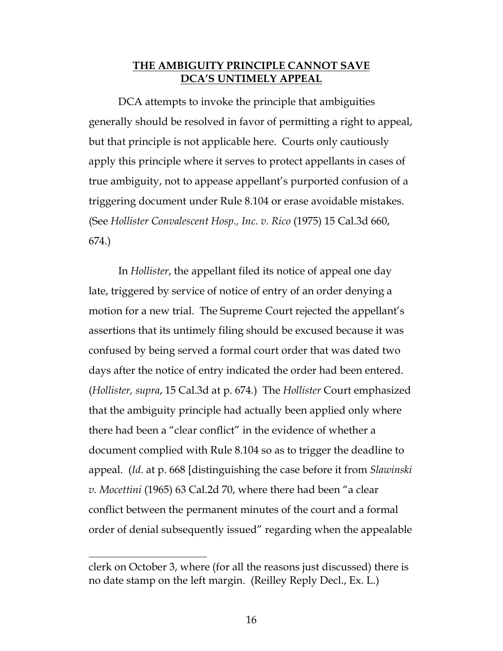#### **THE AMBIGUITY PRINCIPLE CANNOT SAVE DCA'S UNTIMELY APPEAL**

<span id="page-15-0"></span>DCA attempts to invoke the principle that ambiguities generally should be resolved in favor of permitting a right to appeal, but that principle is not applicable here. Courts only cautiously apply this principle where it serves to protect appellants in cases of true ambiguity, not to appease appellant's purported confusion of a triggering document under Rule 8.104 or erase avoidable mistakes. (See *Hollister Convalescent Hosp., Inc. v. Rico* (1975) 15 Cal.3d 660, 674.)

<span id="page-15-1"></span>In *Hollister*, the appellant filed its notice of appeal one day late, triggered by service of notice of entry of an order denying a motion for a new trial. The Supreme Court rejected the appellant's assertions that its untimely filing should be excused because it was confused by being served a formal court order that was dated two days after the notice of entry indicated the order had been entered. (*Hollister, supra*, 15 Cal.3d at p. 674*.*) The *Hollister* Court emphasized that the ambiguity principle had actually been applied only where there had been a "clear conflict" in the evidence of whether a document complied with Rule 8.104 so as to trigger the deadline to appeal. (*Id.* at p. 668 [distinguishing the case before it from *Slawinski v. Mocettini* (1965) 63 Cal.2d 70, where there had been "a clear conflict between the permanent minutes of the court and a formal order of denial subsequently issued" regarding when the appealable

<span id="page-15-2"></span>clerk on October 3, where (for all the reasons just discussed) there is no date stamp on the left margin. (Reilley Reply Decl., Ex. L.)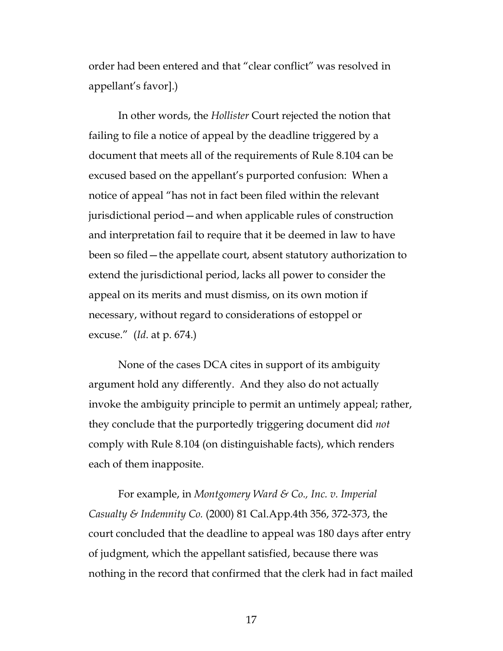order had been entered and that "clear conflict" was resolved in appellant's favor].)

<span id="page-16-0"></span>In other words, the *Hollister* Court rejected the notion that failing to file a notice of appeal by the deadline triggered by a document that meets all of the requirements of Rule 8.104 can be excused based on the appellant's purported confusion: When a notice of appeal "has not in fact been filed within the relevant jurisdictional period—and when applicable rules of construction and interpretation fail to require that it be deemed in law to have been so filed—the appellate court, absent statutory authorization to extend the jurisdictional period, lacks all power to consider the appeal on its merits and must dismiss, on its own motion if necessary, without regard to considerations of estoppel or excuse." (*Id*. at p. 674.)

None of the cases DCA cites in support of its ambiguity argument hold any differently. And they also do not actually invoke the ambiguity principle to permit an untimely appeal; rather, they conclude that the purportedly triggering document did *not* comply with Rule 8.104 (on distinguishable facts), which renders each of them inapposite.

<span id="page-16-1"></span>For example, in *Montgomery Ward & Co., Inc. v. Imperial Casualty & Indemnity Co.* (2000) 81 Cal.App.4th 356, 372-373, the court concluded that the deadline to appeal was 180 days after entry of judgment, which the appellant satisfied, because there was nothing in the record that confirmed that the clerk had in fact mailed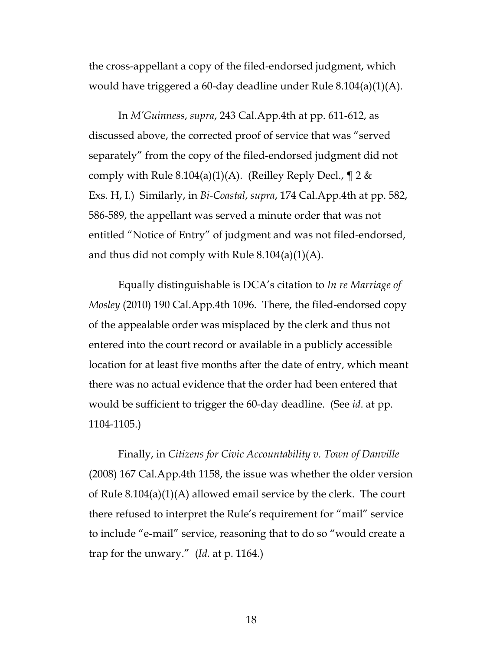the cross-appellant a copy of the filed-endorsed judgment, which would have triggered a 60-day deadline under Rule 8.104(a)(1)(A).

<span id="page-17-3"></span><span id="page-17-0"></span>In *M'Guinness*, *supra*, 243 Cal.App.4th at pp. 611-612, as discussed above, the corrected proof of service that was "served separately" from the copy of the filed-endorsed judgment did not comply with Rule 8.104(a)(1)(A). (Reilley Reply Decl.,  $\P$  2 & Exs. H, I.) Similarly, in *Bi-Coastal*, *supra*, 174 Cal.App.4th at pp. 582, 586-589, the appellant was served a minute order that was not entitled "Notice of Entry" of judgment and was not filed-endorsed, and thus did not comply with Rule  $8.104(a)(1)(A)$ .

<span id="page-17-2"></span>Equally distinguishable is DCA's citation to *In re Marriage of Mosley* (2010) 190 Cal.App.4th 1096. There, the filed-endorsed copy of the appealable order was misplaced by the clerk and thus not entered into the court record or available in a publicly accessible location for at least five months after the date of entry, which meant there was no actual evidence that the order had been entered that would be sufficient to trigger the 60-day deadline. (See *id*. at pp. 1104-1105.)

<span id="page-17-1"></span>Finally, in *Citizens for Civic Accountability v. Town of Danville* (2008) 167 Cal.App.4th 1158, the issue was whether the older version of Rule 8.104(a)(1)(A) allowed email service by the clerk. The court there refused to interpret the Rule's requirement for "mail" service to include "e-mail" service, reasoning that to do so "would create a trap for the unwary." (*Id.* at p. 1164.)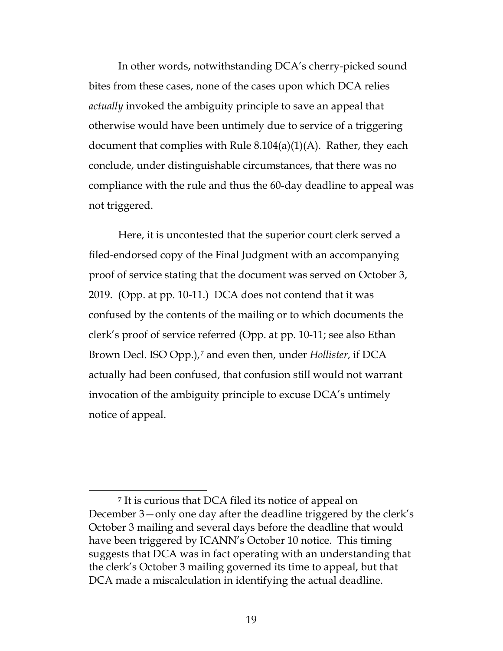In other words, notwithstanding DCA's cherry-picked sound bites from these cases, none of the cases upon which DCA relies *actually* invoked the ambiguity principle to save an appeal that otherwise would have been untimely due to service of a triggering document that complies with Rule  $8.104(a)(1)(A)$ . Rather, they each conclude, under distinguishable circumstances, that there was no compliance with the rule and thus the 60-day deadline to appeal was not triggered.

<span id="page-18-0"></span>Here, it is uncontested that the superior court clerk served a filed-endorsed copy of the Final Judgment with an accompanying proof of service stating that the document was served on October 3, 2019. (Opp. at pp. 10-11.) DCA does not contend that it was confused by the contents of the mailing or to which documents the clerk's proof of service referred (Opp. at pp. 10-11; see also Ethan Brown Decl. ISO Opp.),[7](#page-18-1) and even then, under *Hollister*, if DCA actually had been confused, that confusion still would not warrant invocation of the ambiguity principle to excuse DCA's untimely notice of appeal.

<span id="page-18-1"></span> $\overline{a}$ <sup>7</sup> It is curious that DCA filed its notice of appeal on December 3—only one day after the deadline triggered by the clerk's October 3 mailing and several days before the deadline that would have been triggered by ICANN's October 10 notice. This timing suggests that DCA was in fact operating with an understanding that the clerk's October 3 mailing governed its time to appeal, but that DCA made a miscalculation in identifying the actual deadline.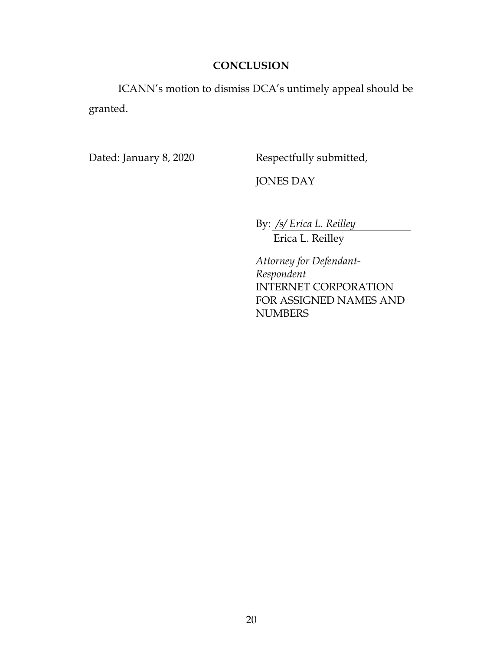# **CONCLUSION**

<span id="page-19-0"></span>ICANN's motion to dismiss DCA's untimely appeal should be granted.

Dated: January 8, 2020 Respectfully submitted,

JONES DAY

By: */s/ Erica L. Reilley* Erica L. Reilley

*Attorney for Defendant-Respondent* INTERNET CORPORATION FOR ASSIGNED NAMES AND NUMBERS